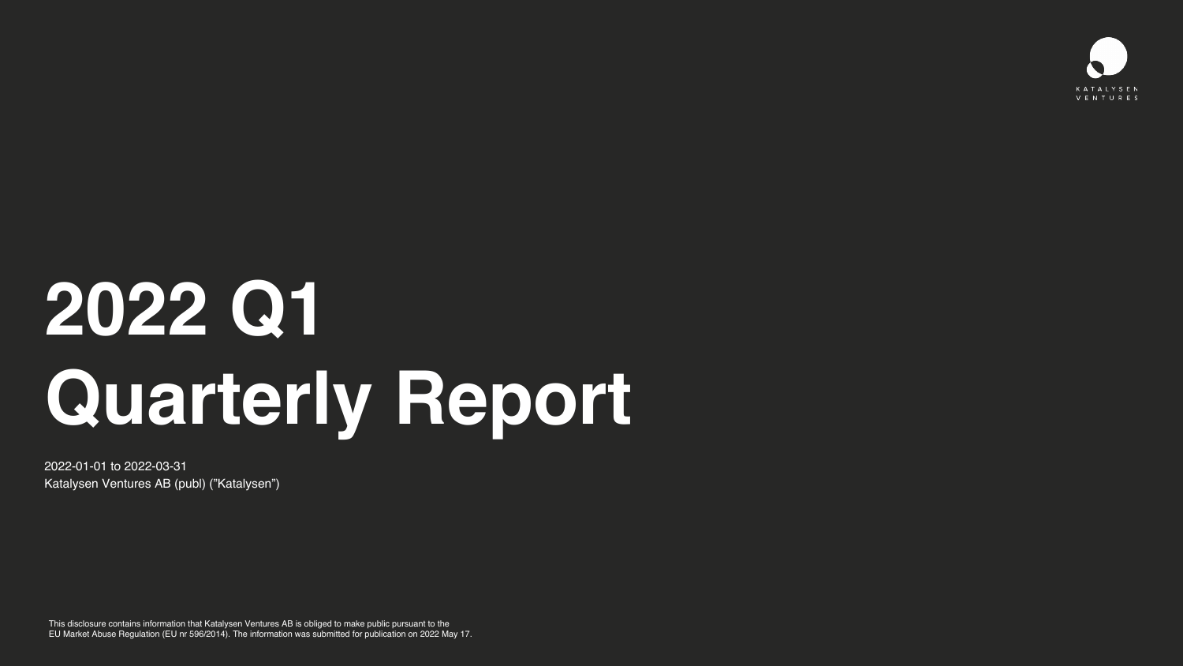# **2022 Q1 Quarterly Report**

2022-01-01 to 2022-03-31 Katalysen Ventures AB (publ) ("Katalysen")

This disclosure contains information that Katalysen Ventures AB is obliged to make public pursuant to the EU Market Abuse Regulation (EU nr 596/2014). The information was submitted for publication on 2022 May 17.



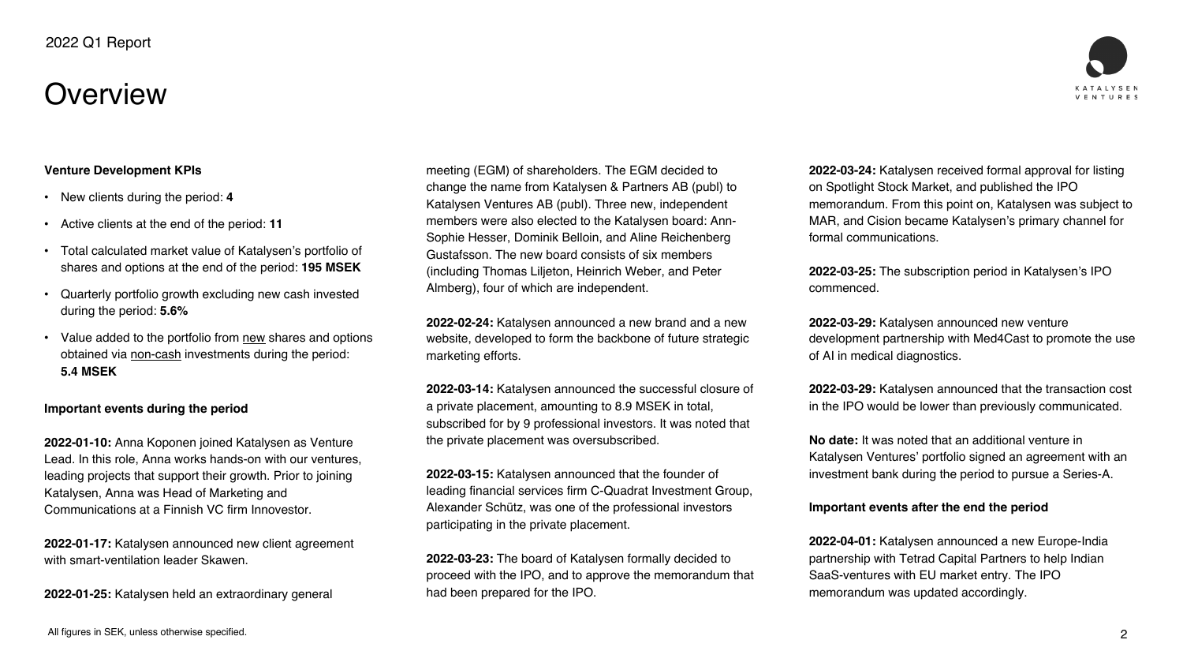## **Overview**



2

#### **Venture Development KPIs**

- New clients during the period: **4**
- Active clients at the end of the period: **11**
- Total calculated market value of Katalysen's portfolio of shares and options at the end of the period: **195 MSEK**
- Quarterly portfolio growth excluding new cash invested during the period: **5.6%**
- Value added to the portfolio from new shares and options obtained via non-cash investments during the period: **5.4 MSEK**

#### **Important events during the period**

**2022-01-10:** Anna Koponen joined Katalysen as Venture Lead. In this role, Anna works hands-on with our ventures, leading projects that support their growth. Prior to joining Katalysen, Anna was Head of Marketing and Communications at a Finnish VC firm Innovestor.

**2022-01-17:** Katalysen announced new client agreement with smart-ventilation leader Skawen.

**2022-01-25:** Katalysen held an extraordinary general

meeting (EGM) of shareholders. The EGM decided to change the name from Katalysen & Partners AB (publ) to Katalysen Ventures AB (publ). Three new, independent members were also elected to the Katalysen board: Ann-Sophie Hesser, Dominik Belloin, and Aline Reichenberg Gustafsson. The new board consists of six members (including Thomas Liljeton, Heinrich Weber, and Peter Almberg), four of which are independent.

**2022-02-24:** Katalysen announced a new brand and a new website, developed to form the backbone of future strategic marketing efforts.

**2022-03-14:** Katalysen announced the successful closure of a private placement, amounting to 8.9 MSEK in total, subscribed for by 9 professional investors. It was noted that the private placement was oversubscribed.

**2022-03-15:** Katalysen announced that the founder of leading financial services firm C-Quadrat Investment Group, Alexander Schütz, was one of the professional investors participating in the private placement.

**2022-03-23:** The board of Katalysen formally decided to proceed with the IPO, and to approve the memorandum that had been prepared for the IPO.

**2022-03-24:** Katalysen received formal approval for listing on Spotlight Stock Market, and published the IPO memorandum. From this point on, Katalysen was subject to MAR, and Cision became Katalysen's primary channel for formal communications.

**2022-03-25:** The subscription period in Katalysen's IPO commenced.

**2022-03-29:** Katalysen announced new venture development partnership with Med4Cast to promote the use of AI in medical diagnostics.

**2022-03-29:** Katalysen announced that the transaction cost in the IPO would be lower than previously communicated.

**No date:** It was noted that an additional venture in Katalysen Ventures' portfolio signed an agreement with an investment bank during the period to pursue a Series-A.

#### **Important events after the end the period**

**2022-04-01:** Katalysen announced a new Europe-India partnership with Tetrad Capital Partners to help Indian SaaS-ventures with EU market entry. The IPO memorandum was updated accordingly.









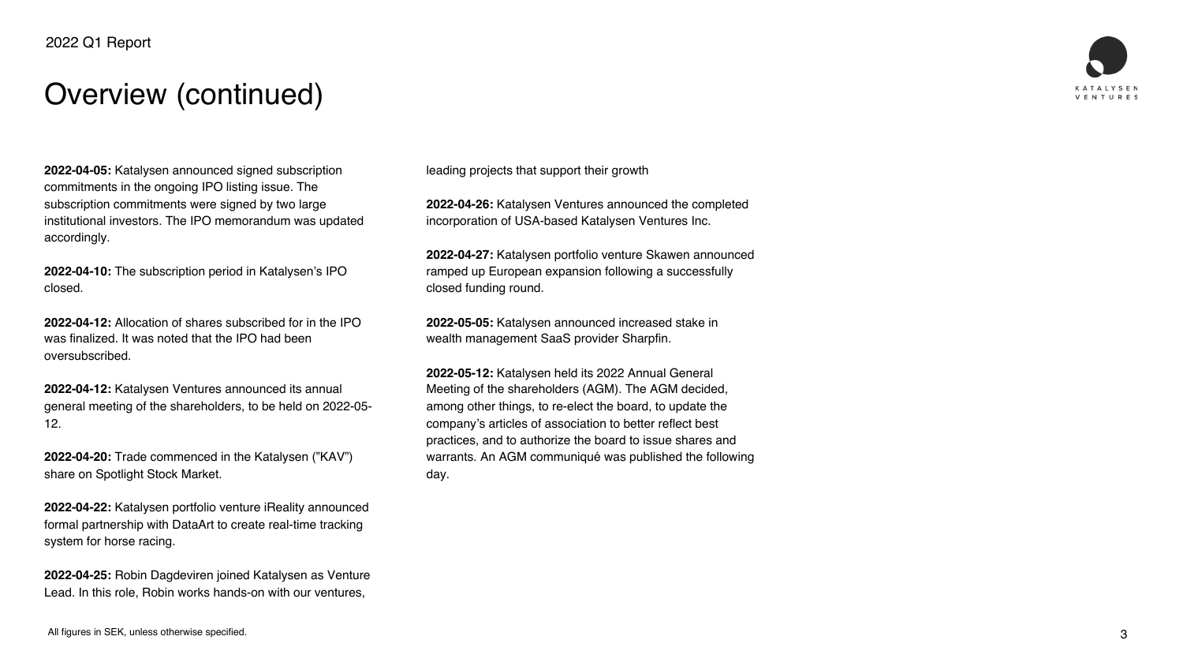



## Overview (continued)



**2022-04-05:** Katalysen announced signed subscription commitments in the ongoing IPO listing issue. The subscription commitments were signed by two large institutional investors. The IPO memorandum was updated accordingly.

**2022-04-10:** The subscription period in Katalysen's IPO closed.

**2022-04-12:** Allocation of shares subscribed for in the IPO was finalized. It was noted that the IPO had been oversubscribed.

**2022-04-12:** Katalysen Ventures announced its annual general meeting of the shareholders, to be held on 2022-05- 12.

**2022-04-20:** Trade commenced in the Katalysen ("KAV") share on Spotlight Stock Market.

**2022-04-22:** Katalysen portfolio venture iReality announced formal partnership with DataArt to create real-time tracking system for horse racing.

**2022-04-25:** Robin Dagdeviren joined Katalysen as Venture Lead. In this role, Robin works hands-on with our ventures,

leading projects that support their growth

**2022-04-26:** Katalysen Ventures announced the completed incorporation of USA-based Katalysen Ventures Inc.

**2022-04-27:** Katalysen portfolio venture Skawen announced ramped up European expansion following a successfully closed funding round.

**2022-05-05:** Katalysen announced increased stake in wealth management SaaS provider Sharpfin.

**2022-05-12:** Katalysen held its 2022 Annual General Meeting of the shareholders (AGM). The AGM decided, among other things, to re-elect the board, to update the company's articles of association to better reflect best practices, and to authorize the board to issue shares and warrants. An AGM communiqué was published the following day.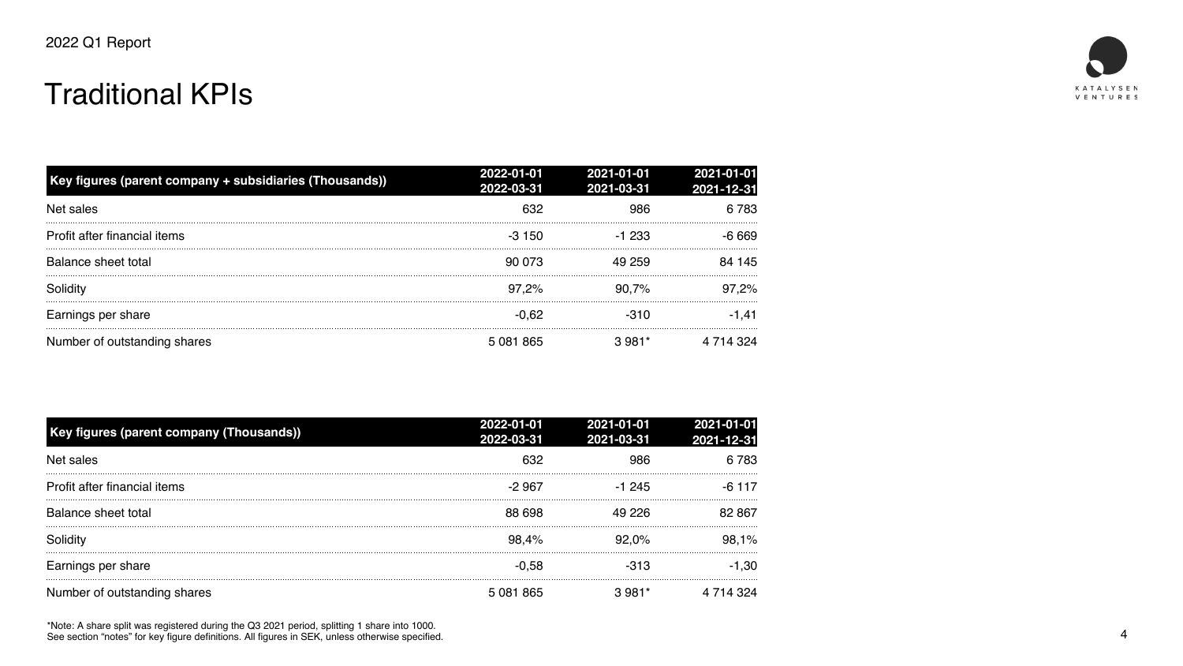## Traditional KPIs

4

| 2021-01-01<br>2021-12-31 | 2021-01-01<br>2021-03-31 |
|--------------------------|--------------------------|
| 6 783                    | 986                      |
| $-6669$                  | $-1233$                  |
| 84 145                   | 49 259                   |
| 97,2%                    | 90,7%                    |
| -1,41                    | $-310$                   |
| 4 714 324                | $3.981*$                 |



| Key figures (parent company + subsidiaries (Thousands)) | 2022-01-01<br>2022-03-31 | 2021-01-01<br>2021-03-31 | 2021-01-01<br>2021-12-31 |
|---------------------------------------------------------|--------------------------|--------------------------|--------------------------|
| Net sales                                               | 632                      | 986                      | 6 783                    |
| Profit after financial items                            | $-3150$                  | $-1233$                  | -6 669                   |
| Balance sheet total                                     | 90 073                   | 49 259                   | 84 145                   |
| Solidity                                                | $97,2\%$                 | 90.7%                    | 97,2%                    |
| Earnings per share                                      | $-0.62$                  | $-310$                   | -1.41                    |
| Number of outstanding shares                            | 5 081 865                | $3.981*$                 | 14 324                   |

All figures in Section figures in Section 1980, the specified specified. \*Note: A share split was registered during the Q3 2021 period, splitting 1 share into 1000. See section "notes" for key figure definitions. All figures in SEK, unless otherwise specified.



| <b>Key figures (parent company (Thousands))</b> | 2022-01-01<br>2022-03-31 | 2021-01-01<br>2021-03-31 | 2021-01-01<br>2021-12-31 |
|-------------------------------------------------|--------------------------|--------------------------|--------------------------|
| Net sales                                       | 632                      |                          | 6783                     |
| Profit after financial items                    | -2 967                   | $-1, 245$                | $-6$ 117                 |
| Balance sheet total                             | 88 698                   | 49 226                   | 82 867                   |
| <b>Solidity</b>                                 | 98,4%                    | 92.0%                    | 98,1%                    |
| Earnings per share                              | $-0.58$                  | -313                     | $-1,30$                  |
| Number of outstanding shares                    | 5 081 865                | 3 981*                   |                          |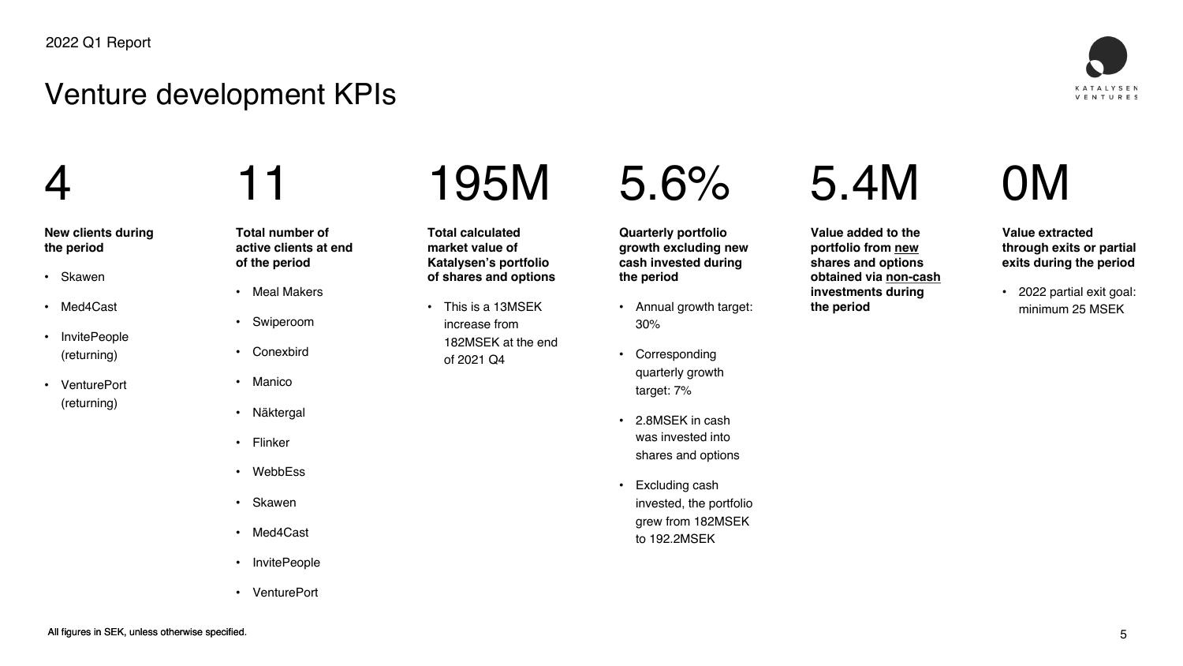

## 4

#### **New clients during the period**

- Skawen
- Med4Cast
- InvitePeople (returning)
- VenturePort (returning)

## Venture development KPIs

11

**Total number of active clients at end of the period**

- Meal Makers
- Swiperoom
- Conexbird
- Manico
- Näktergal
- Flinker
- WebbEss
- Skawen
- Med4Cast
- InvitePeople
- VenturePort

## 195M

**Total calculated market value of Katalysen's portfolio of shares and options**

• This is a 13MSEK increase from 182MSEK at the end of 2021 Q4



## 5.6%

**Quarterly portfolio growth excluding new cash invested during the period**

- Annual growth target: 30%
- Corresponding quarterly growth target: 7%
- 2.8MSEK in cash was invested into shares and options
- Excluding cash invested, the portfolio grew from 182MSEK to 192.2MSEK

## 5.4M

**Value added to the portfolio from new shares and options obtained via non-cash investments during the period**

## 0M

**Value extracted through exits or partial exits during the period**

• 2022 partial exit goal: minimum 25 MSEK

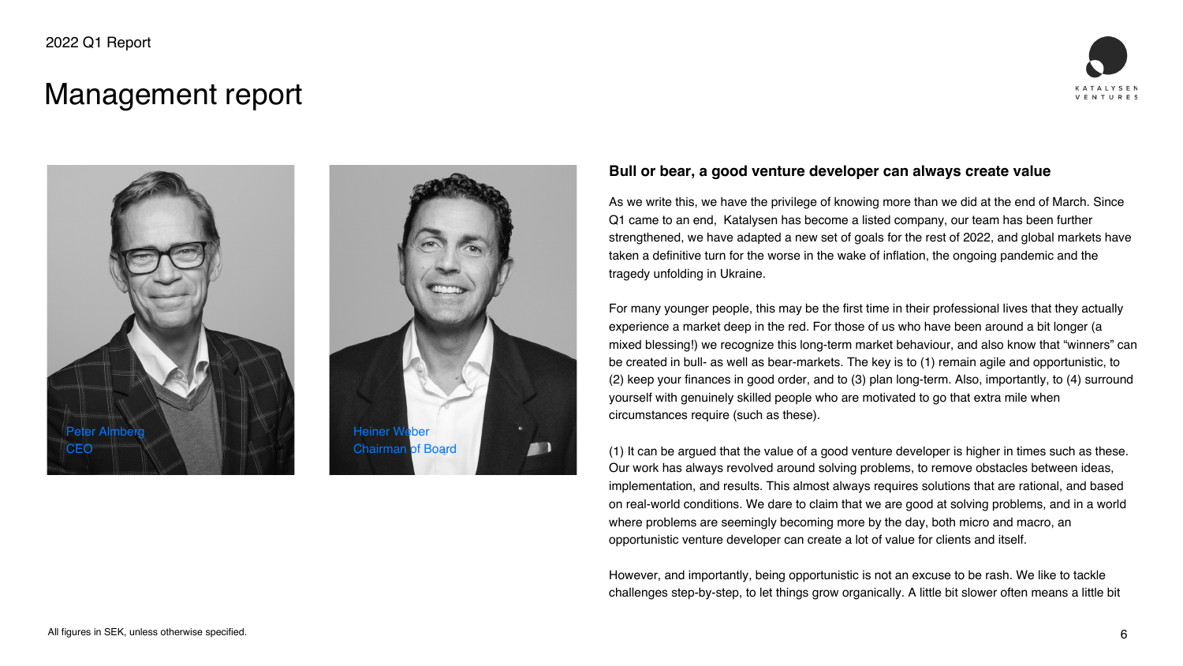

### Management report





#### **Bull or bear, a good venture developer can always create value**

As we write this, we have the privilege of knowing more than we did at the end of March. Since Q1 came to an end, Katalysen has become a listed company, our team has been further strengthened, we have adapted a new set of goals for the rest of 2022, and global markets have taken a definitive turn for the worse in the wake of inflation, the ongoing pandemic and the tragedy unfolding in Ukraine.

For many younger people, this may be the first time in their professional lives that they actually experience a market deep in the red. For those of us who have been around a bit longer (a mixed blessing!) we recognize this long-term market behaviour, and also know that "winners" can be created in bull- as well as bear-markets. The key is to (1) remain agile and opportunistic, to (2) keep your finances in good order, and to (3) plan long-term. Also, importantly, to (4) surround yourself with genuinely skilled people who are motivated to go that extra mile when circumstances require (such as these).

(1) It can be argued that the value of a good venture developer is higher in times such as these. Our work has always revolved around solving problems, to remove obstacles between ideas, implementation, and results. This almost always requires solutions that are rational, and based on real-world conditions. We dare to claim that we are good at solving problems, and in a world where problems are seemingly becoming more by the day, both micro and macro, an opportunistic venture developer can create a lot of value for clients and itself.

However, and importantly, being opportunistic is not an excuse to be rash. We like to tackle challenges step-by-step, to let things grow organically. A little bit slower often means a little bit









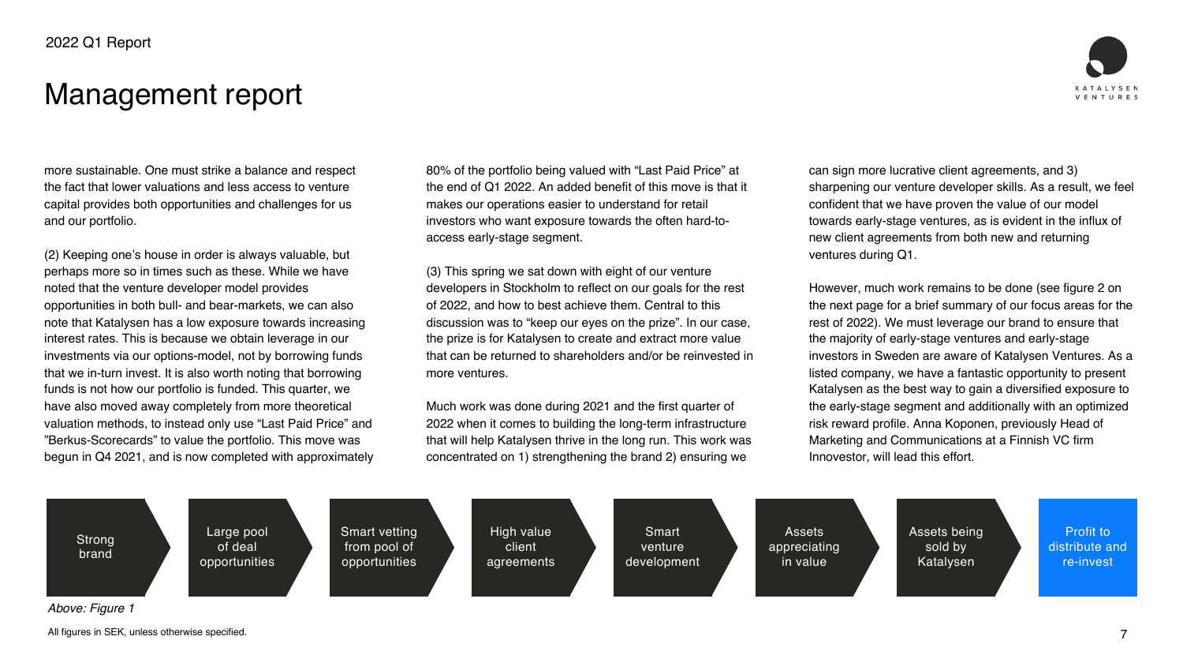All figures in SEK, unless otherwise specified.



### Management report



*Above: Figure 1*

Profit to distribute and re-invest









Assets being sold by Katalysen

Assets appreciating in value

Smart venture development



more sustainable. One must strike a balance and respect the fact that lower valuations and less access to venture capital provides both opportunities and challenges for us and our portfolio.

(2) Keeping one's house in order is always valuable, but perhaps more so in times such as these. While we have noted that the venture developer model provides opportunities in both bull- and bear-markets, we can also note that Katalysen has a low exposure towards increasing interest rates. This is because we obtain leverage in our investments via our options-model, not by borrowing funds that we in-turn invest. It is also worth noting that borrowing funds is not how our portfolio is funded. This quarter, we have also moved away completely from more theoretical valuation methods, to instead only use "Last Paid Price" and "Berkus-Scorecards" to value the portfolio. This move was begun in Q4 2021, and is now completed with approximately 80% of the portfolio being valued with "Last Paid Price" at the end of Q1 2022. An added benefit of this move is that it makes our operations easier to understand for retail investors who want exposure towards the often hard-toaccess early-stage segment.

(3) This spring we sat down with eight of our venture developers in Stockholm to reflect on our goals for the rest of 2022, and how to best achieve them. Central to this discussion was to "keep our eyes on the prize". In our case, the prize is for Katalysen to create and extract more value that can be returned to shareholders and/or be reinvested in more ventures.

Much work was done during 2021 and the first quarter of 2022 when it comes to building the long-term infrastructure that will help Katalysen thrive in the long run. This work was concentrated on 1) strengthening the brand 2) ensuring we

can sign more lucrative client agreements, and 3) sharpening our venture developer skills. As a result, we feel confident that we have proven the value of our model towards early-stage ventures, as is evident in the influx of new client agreements from both new and returning ventures during Q1.

However, much work remains to be done (see figure 2 on the next page for a brief summary of our focus areas for the rest of 2022). We must leverage our brand to ensure that the majority of early-stage ventures and early-stage investors in Sweden are aware of Katalysen Ventures. As a listed company, we have a fantastic opportunity to present Katalysen as the best way to gain a diversified exposure to the early-stage segment and additionally with an optimized risk reward profile. Anna Koponen, previously Head of Marketing and Communications at a Finnish VC firm Innovestor, will lead this effort.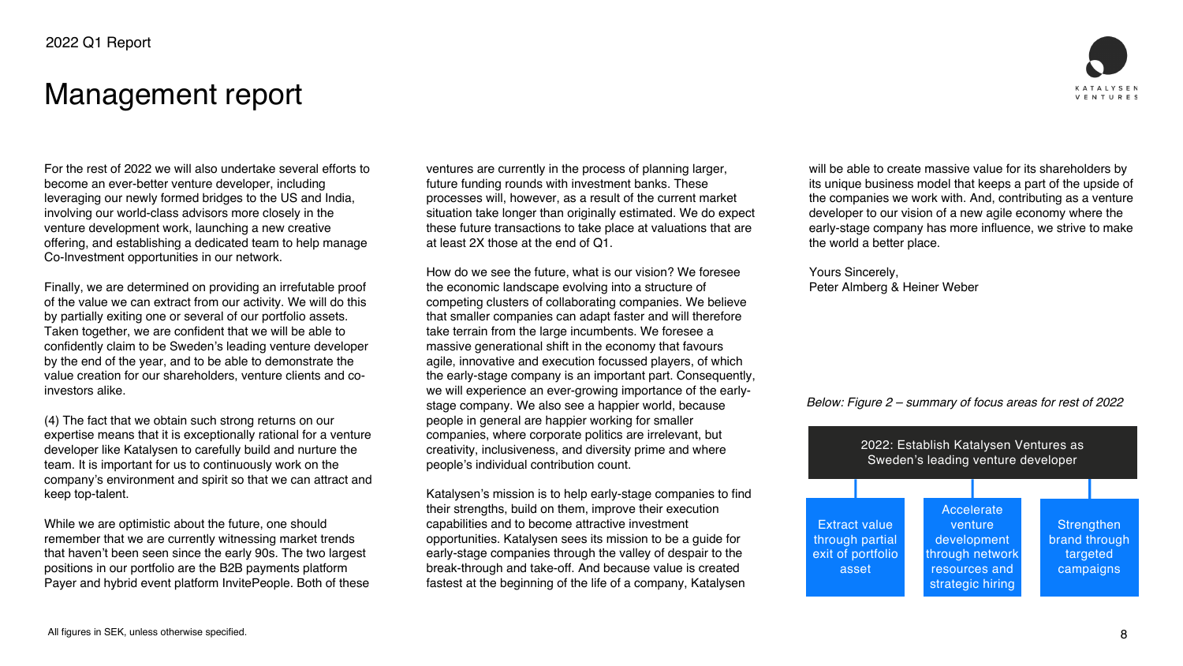

For the rest of 2022 we will also undertake several efforts to become an ever-better venture developer, including leveraging our newly formed bridges to the US and India, involving our world-class advisors more closely in the venture development work, launching a new creative offering, and establishing a dedicated team to help manage Co-Investment opportunities in our network.

Finally, we are determined on providing an irrefutable proof of the value we can extract from our activity. We will do this by partially exiting one or several of our portfolio assets. Taken together, we are confident that we will be able to confidently claim to be Sweden's leading venture developer by the end of the year, and to be able to demonstrate the value creation for our shareholders, venture clients and coinvestors alike.

(4) The fact that we obtain such strong returns on our expertise means that it is exceptionally rational for a venture developer like Katalysen to carefully build and nurture the team. It is important for us to continuously work on the company's environment and spirit so that we can attract and keep top-talent.

While we are optimistic about the future, one should remember that we are currently witnessing market trends that haven't been seen since the early 90s. The two largest positions in our portfolio are the B2B payments platform Payer and hybrid event platform InvitePeople. Both of these ventures are currently in the process of planning larger, future funding rounds with investment banks. These processes will, however, as a result of the current market situation take longer than originally estimated. We do expect these future transactions to take place at valuations that are at least 2X those at the end of Q1.

How do we see the future, what is our vision? We foresee the economic landscape evolving into a structure of competing clusters of collaborating companies. We believe that smaller companies can adapt faster and will therefore take terrain from the large incumbents. We foresee a massive generational shift in the economy that favours agile, innovative and execution focussed players, of which the early-stage company is an important part. Consequently, we will experience an ever-growing importance of the earlystage company. We also see a happier world, because people in general are happier working for smaller companies, where corporate politics are irrelevant, but creativity, inclusiveness, and diversity prime and where people's individual contribution count.

Katalysen's mission is to help early-stage companies to find their strengths, build on them, improve their execution capabilities and to become attractive investment opportunities. Katalysen sees its mission to be a guide for early-stage companies through the valley of despair to the break-through and take-off. And because value is created fastest at the beginning of the life of a company, Katalysen

will be able to create massive value for its shareholders by its unique business model that keeps a part of the upside of the companies we work with. And, contributing as a venture developer to our vision of a new agile economy where the early-stage company has more influence, we strive to make the world a better place.

Yours Sincerely, Peter Almberg & Heiner Weber

### Management report









#### *Below: Figure 2 – summary of focus areas for rest of 2022*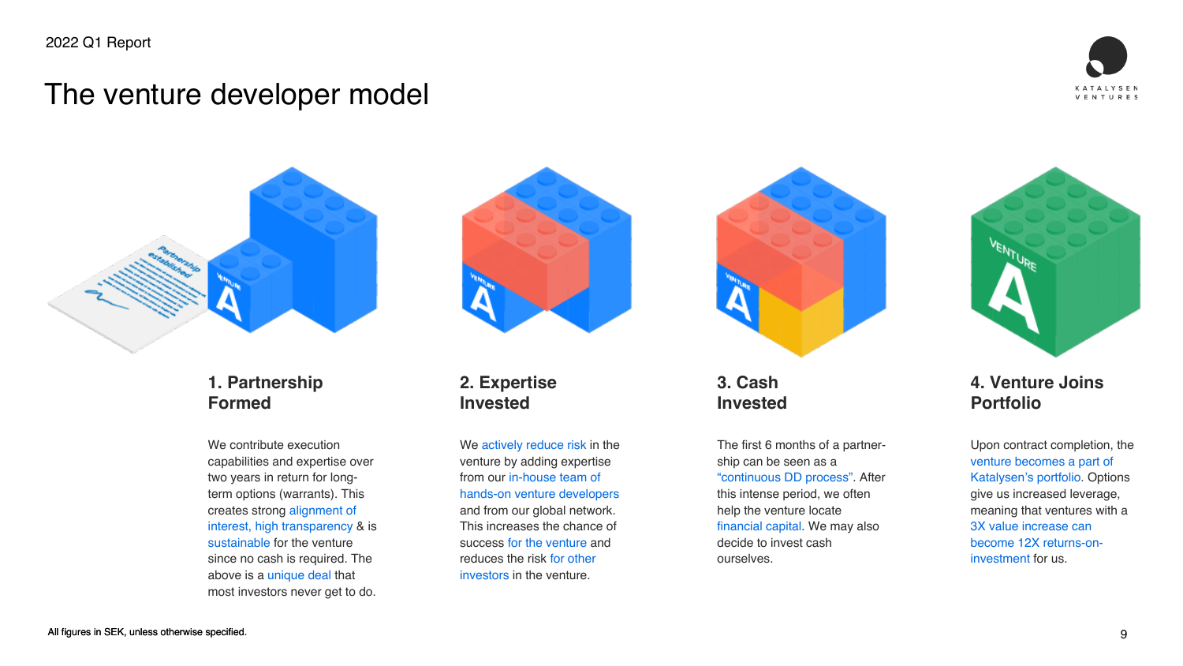



### The venture developer model







#### **1. Partnership Formed**

We contribute execution capabilities and expertise over two years in return for longterm options (warrants). This creates strong alignment of interest, high transparency & is sustainable for the venture since no cash is required. The above is a unique deal that most investors never get to do.

We actively reduce risk in the venture by adding expertise from our in-house team of hands-on venture developers and from our global network. This increases the chance of success for the venture and reduces the risk for other investors in the venture.

#### **2. Expertise Invested**

#### **3. Cash Invested**

The first 6 months of a partnership can be seen as a "continuous DD process". After this intense period, we often help the venture locate financial capital. We may also decide to invest cash ourselves.



#### **4. Venture Joins Portfolio**

Upon contract completion, the venture becomes a part of Katalysen's portfolio. Options give us increased leverage, meaning that ventures with a 3X value increase can become 12X returns-oninvestment for us.





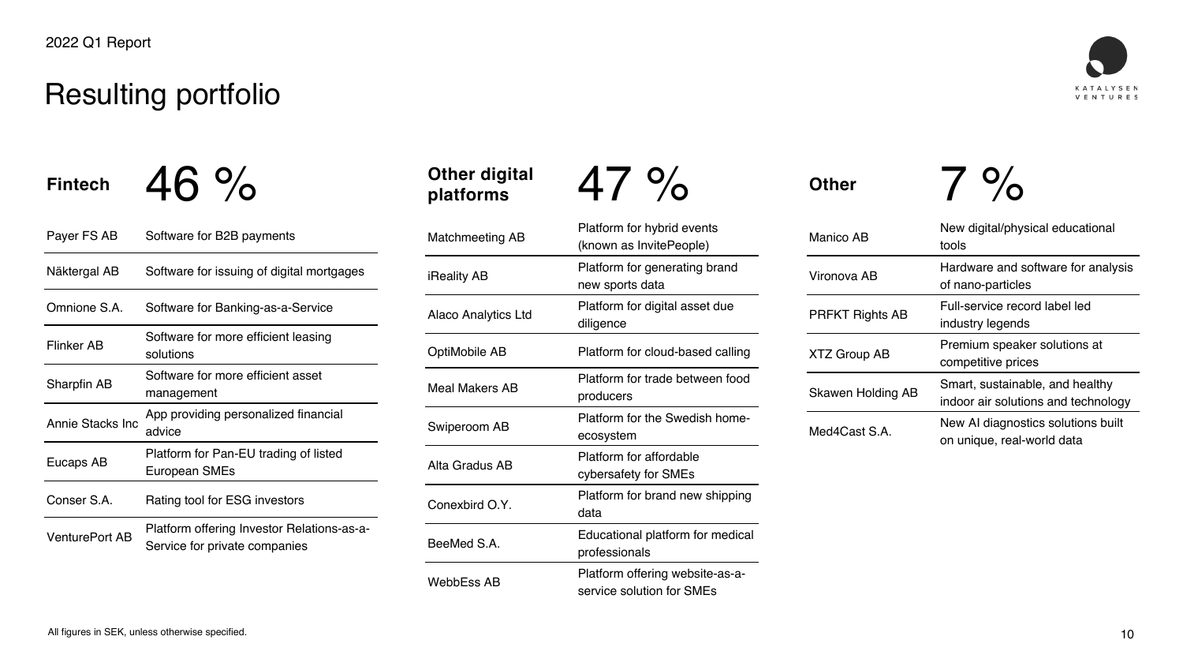

Other digital 47 %<br>platforms

### Resulting portfolio

Fintech  $46\%$ 

| Payer FS AB             | Software for B2B payments                                                          | <b>Matchmeeting AB</b>     |  |
|-------------------------|------------------------------------------------------------------------------------|----------------------------|--|
| Näktergal AB            | Software for issuing of digital mortgages                                          | <b>iReality AB</b>         |  |
| Omnione S.A.            | Software for Banking-as-a-Service                                                  | <b>Alaco Analytics Ltd</b> |  |
| <b>Flinker AB</b>       | Software for more efficient leasing<br>solutions                                   | <b>OptiMobile AB</b>       |  |
| <b>Sharpfin AB</b>      | Software for more efficient asset<br>management                                    | <b>Meal Makers AB</b>      |  |
| <b>Annie Stacks Inc</b> | App providing personalized financial<br>advice                                     | <b>Swiperoom AB</b>        |  |
| Eucaps AB               | Platform for Pan-EU trading of listed<br><b>European SMEs</b>                      | Alta Gradus AB             |  |
| Conser S.A.             | <b>Rating tool for ESG investors</b>                                               | Conexbird O.Y.             |  |
| <b>VenturePort AB</b>   | <b>Platform offering Investor Relations-as-a-</b><br>Service for private companies | BeeMed S.A.                |  |
|                         |                                                                                    |                            |  |

Platform for hybrid events (known as InvitePeople) Platform for generating brand new sports data Platform for digital asset due diligence Platform for cloud-based calling Platform for trade between food producers Platform for the Swedish homeecosystem Platform for affordable cybersafety for SMEs Platform for brand new shipping data Educational platform for medical professionals WebbEss AB Platform offering website-as-aservice solution for SMEs

## **Other digital**

Other 7 %

| <b>Manico AB</b>         | New digital/physical educational<br>tools                              |
|--------------------------|------------------------------------------------------------------------|
| Vironova AB              | Hardware and software for analysis<br>of nano-particles                |
| <b>PRFKT Rights AB</b>   | Full-service record label led<br>industry legends                      |
| <b>XTZ Group AB</b>      | Premium speaker solutions at<br>competitive prices                     |
| <b>Skawen Holding AB</b> | Smart, sustainable, and healthy<br>indoor air solutions and technology |
| Med4Cast S.A.            | New AI diagnostics solutions built<br>on unique, real-world data       |





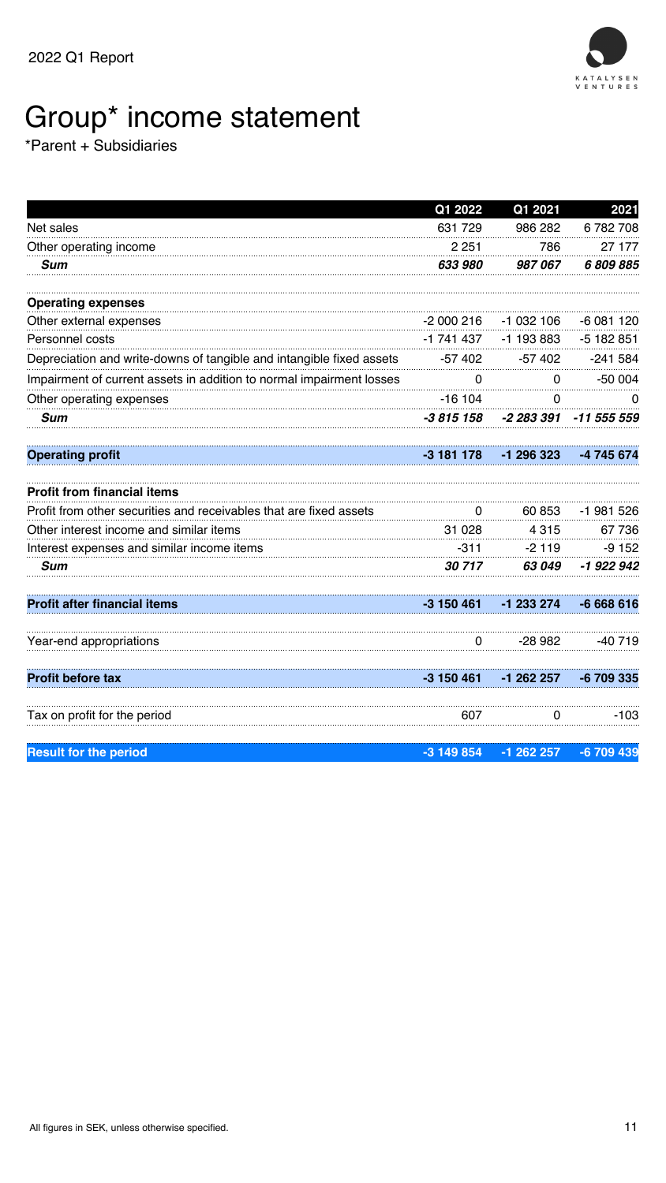

#### All figures in SEK, unless otherwise specified.

## Group\* income statement

\*Parent + Subsidiaries

|                                                                      | Q1 2022      | Q1 2021      | 2021        |
|----------------------------------------------------------------------|--------------|--------------|-------------|
| Net sales                                                            | 631 729      | 986 282      | 6782708     |
| Other operating income                                               | 2 2 5 1      | 786          | 27 177      |
| <b>Sum</b>                                                           | 633 980      | 987067       | 6809885     |
| <b>Operating expenses</b>                                            |              |              |             |
| Other external expenses                                              | $-2000216$   | $-1032106$   | -6 081 120  |
| <b>Personnel costs</b>                                               | -1 741 437   | $-1$ 193 883 | $-5182851$  |
| Depreciation and write-downs of tangible and intangible fixed assets | $-57,402$    | $-57402$     | $-241584$   |
| Impairment of current assets in addition to normal impairment losses | $\Omega$     | $\Omega$     | $-50004$    |
| Other operating expenses                                             | $-16104$     | $\Omega$     | $\Omega$    |
| <b>Sum</b>                                                           | -3 815 158   | -2 283 391   | -11 555 559 |
| <b>Operating profit</b>                                              | -3 181 178   | -1 296 323   | -4 745 674  |
| <b>Profit from financial items</b>                                   |              |              |             |
| Profit from other securities and receivables that are fixed assets   |              | 60 853       | -1 981 526  |
| Other interest income and similar items                              | 31 0 28      | 4 3 1 5      | 67 736      |
| Interest expenses and similar income items                           | $-311$       | $-2119$      | $-9152$     |
| <b>Sum</b>                                                           | 30 717       | 63 049       | -1 922 942  |
| <b>Profit after financial items</b>                                  | $-3$ 150 461 | -1 233 274   | -6 668 616  |
| Year-end appropriations                                              | $\Omega$     | -28 982      | -40 719     |
| <b>Profit before tax</b>                                             | -3 150 461   | $-1$ 262 257 | -6 709 335  |
| Tax on profit for the period                                         | 607          |              | -103        |
| <b>Result for the period</b>                                         | $-3$ 149 854 | $-1$ 262 257 | -6 709 439  |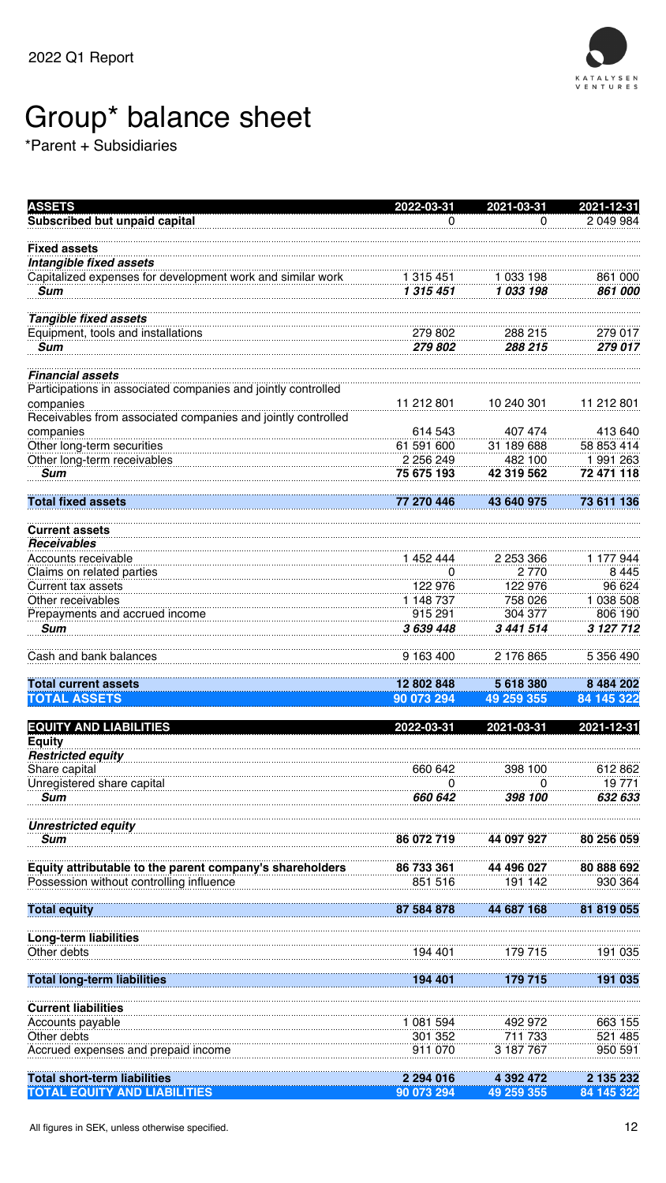

#### All figures in SEK, unless otherwise specified.

| <b>ASSETS</b>                                                             | 2022-03-31             | 2021-03-31             | $2021 - 12 - 31$          |
|---------------------------------------------------------------------------|------------------------|------------------------|---------------------------|
| <b>Subscribed but unpaid capital</b>                                      | O                      | O                      | 2 049 984                 |
| <b>Fixed assets</b>                                                       |                        |                        |                           |
| Intangible fixed assets                                                   |                        |                        |                           |
| Capitalized expenses for development work and similar work<br><b>Sum</b>  | 1 315 451<br>1 315 451 | 1 033 198<br>1 033 198 | 861 000<br><i>861 000</i> |
|                                                                           |                        |                        |                           |
| <b>Tangible fixed assets</b>                                              |                        |                        |                           |
| Equipment, tools and installations<br><b>Sum</b>                          | 279 802<br>279 802     | 288 215<br>288 215     | 279 017<br>279 017        |
|                                                                           |                        |                        |                           |
| <b>Financial assets</b>                                                   |                        |                        |                           |
| Participations in associated companies and jointly controlled             |                        |                        |                           |
| companies<br>Receivables from associated companies and jointly controlled | 11 212 801             | 10 240 301             | 11 212 801                |
| companies                                                                 | 614 543                | 407 474                | 413 640                   |
| Other long-term securities                                                | 61 591 600             | 31 189 688             | 58 853 414                |
| Other long-term receivables                                               | 2 256 249              | 482 100                | 1 991 263                 |
| <b>Sum</b>                                                                | 75 675 193             | 42 319 562             | 72 471 118                |
| <b>Total fixed assets</b>                                                 | 77 270 446             | 43 640 975             | 73 611 136                |
|                                                                           |                        |                        |                           |
| <b>Current assets</b><br><b>Receivables</b>                               |                        |                        |                           |
| Accounts receivable                                                       | 1 452 444              | 2 253 366              | 1 177 944                 |
| Claims on related parties                                                 | O                      | 2 7 7 0                | 8 4 4 5                   |
| <b>Current tax assets</b><br>Other receivables                            | 122 976<br>1 148 737   | 122 976<br>758 026     | 96 624<br>1 038 508       |
| Prepayments and accrued income                                            | 915 291                | 304 377                | 806 190                   |
| <b>Sum</b>                                                                | 3 639 448              | 3 441 514              | 3 127 712                 |
|                                                                           |                        |                        |                           |
| Cash and bank balances                                                    | 9 163 400              | 2 176 865              | 5 356 490                 |
| <b>Total current assets</b>                                               | 12 802 848             | 5 618 380              | 8 484 202                 |
| <b>TOTAL ASSETS</b>                                                       | 90 073 294             | 49 259 355             | 84 145 322                |
| <b>EQUITY AND LIABILITIES</b>                                             | 2022-03-31             | 2021-03-31             | 2021-12-31                |
| <b>Equity</b>                                                             |                        |                        |                           |
| <b>Restricted equity</b>                                                  |                        |                        |                           |
| Share capital<br>Unregistered share capital                               | 660 642<br>O           | 398 100<br>O           | 612862<br>19 771          |
| <b>Sum</b>                                                                | 660 642                | 398 100                | 632 633                   |
|                                                                           |                        |                        |                           |
| <b>Unrestricted equity</b>                                                |                        |                        |                           |
| <b>Sum</b>                                                                | 86 072 719             | 44 097 927             | 80 256 059                |
| Equity attributable to the parent company's shareholders                  | 86 733 361             | 44 496 027             | 80 888 692                |
| Possession without controlling influence                                  | 851 516                | 191 142                | 930 364                   |
| <b>Total equity</b>                                                       | 87 584 878             | 44 687 168             | 81 819 055                |
|                                                                           |                        |                        |                           |
| <b>Long-term liabilities</b>                                              |                        |                        |                           |
| Other debts                                                               | 194 401                | 179 715                | 191 035                   |
| <b>Total long-term liabilities</b>                                        | 194 401                | 179 715                | 191 035                   |
| <b>Current liabilities</b>                                                |                        |                        |                           |
| Accounts payable                                                          | 1 081 594              | 492 972                | 663 155                   |
| Other debts                                                               | 301 352                | 711 733                | 521 485                   |
| Accrued expenses and prepaid income                                       | 911 070                | 3 187 767              | 950 591                   |
| <b>Total short-term liabilities</b>                                       | 2 294 016              | 4 392 472              | 2 135 232                 |
| <b>TOTAL EQUITY AND LIABILITIES</b>                                       | 90 073 294             | 49 259 355             | 84 145 322                |

## Group\* balance sheet

\*Parent + Subsidiaries

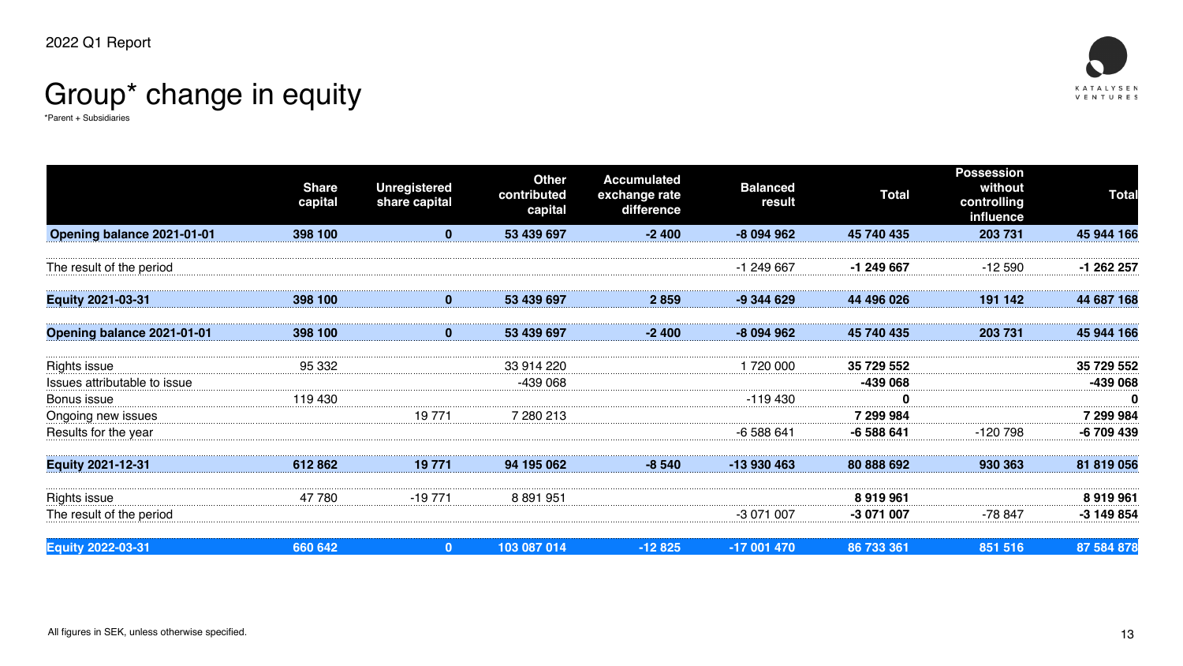

## Group\* change in equity

\*Parent + Subsidiaries



|                                     | <b>Share</b><br>capital | Unregistered<br>share capital | <b>Other</b><br>contributed<br>capital | <b>Accumulated</b><br>exchange rate<br>difference | <b>Balanced</b><br>result | <b>Total</b> | <b>Possession</b><br>without<br>controlling<br>influence | <b>Total</b> |
|-------------------------------------|-------------------------|-------------------------------|----------------------------------------|---------------------------------------------------|---------------------------|--------------|----------------------------------------------------------|--------------|
| <b>Opening balance 2021-01-01</b>   | 398 100                 |                               | 53 439 697                             | $-2400$                                           | -8 094 962                | 45 740 435   | 203 731                                                  | 45 944 166   |
| The result of the period            |                         |                               |                                        |                                                   | -1 249 667                | -1 249 667   | -12 590                                                  | -1 262 257   |
| <b>Equity 2021-03-31</b>            | 398 100                 | $\bf{0}$                      | 53 439 697                             | 2 859                                             | -9 344 629                | 44 496 026   | 191 142                                                  | 44 687 168   |
| <b>Opening balance 2021-01-01</b>   | 398 100                 |                               | 53 439 697                             | -2 400                                            | -8 094 962                | 45 740 435   | 203 731                                                  | 45 944 166   |
| <b>Rights issue</b>                 | 95 332                  |                               | 33 914 220                             |                                                   | 1 720 000                 | 35 729 552   |                                                          | 35 729 552   |
| <b>Issues attributable to issue</b> |                         |                               | -439 068                               |                                                   |                           | -439 068     |                                                          | -439 068     |
| <b>Bonus issue</b>                  | 119 430                 |                               |                                        |                                                   | -119 430                  |              |                                                          |              |
| Ongoing new issues                  |                         | 19 771                        | 7 280 213                              |                                                   |                           | 7 299 984    |                                                          | 7 299 984    |
| Results for the year                |                         |                               |                                        |                                                   | -6 588 641                | $-6588641$   | -120 798                                                 | -6709439     |
| <b>Equity 2021-12-31</b>            | 612862                  |                               | 94 195 062                             | -8 540                                            | -13 930 463               | 80 888 692   | 930 363                                                  | 31 819 056   |
| Rights issue                        | 78C                     | -19                           | 8 891 951                              |                                                   |                           | 8 919 961    |                                                          | 8919961      |
| The result of the period            |                         |                               |                                        |                                                   | -3 071 007                | -3 071 007   | -78 847                                                  | -3 149 854   |
| <b>Equity 2022-03-31</b>            | 660 642                 | $\mathbf{0}$                  | 103 087 014                            | $-12825$                                          | $-17001470$               | 86 733 361   | 851 516                                                  | 87 584 878   |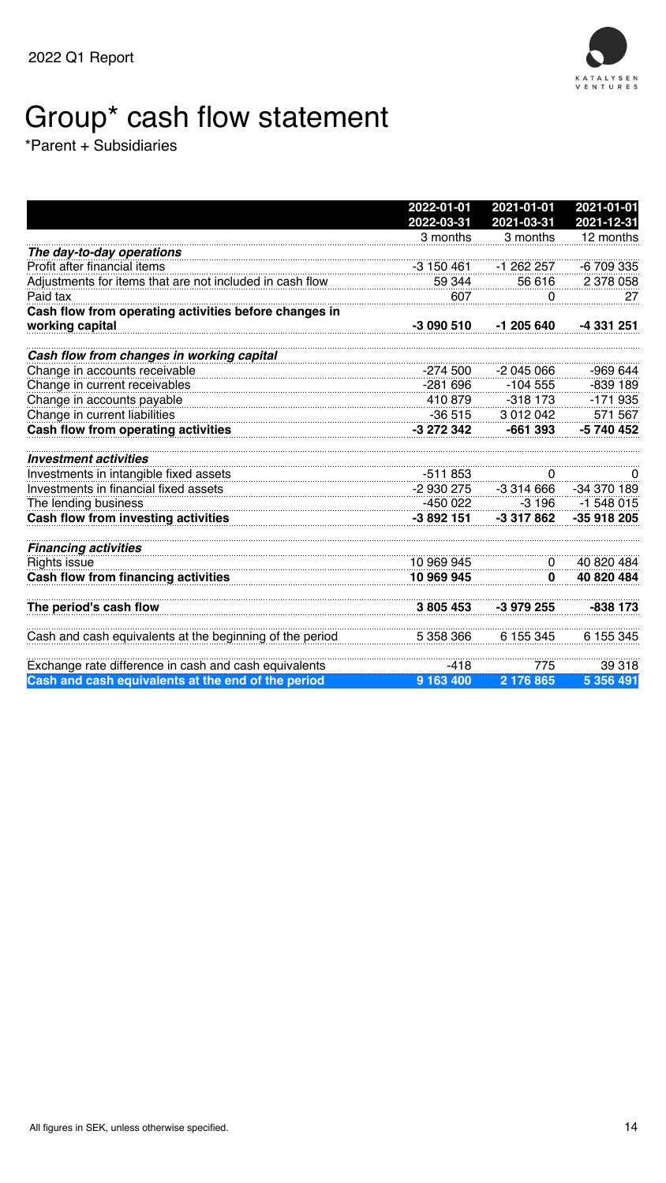

#### All figures in SEK, unless otherwise specified.

## Group\* cash flow statement

\*Parent + Subsidiaries

|                                                          | 2022-01-01 | 2021-01-01   | 2021-01-01              |
|----------------------------------------------------------|------------|--------------|-------------------------|
|                                                          | 2022-03-31 | 2021-03-31   | 2021-12-31<br>12 months |
| The day-to-day operations                                | 3 months   | 3 months     |                         |
| Profit after financial items                             | -3 150 461 | -1 262 257   | -6 709 335              |
| Adjustments for items that are not included in cash flow | 59 344     | 56 616       | 2 378 058               |
| Paid tax                                                 | 607        | $\Omega$     | 27                      |
| Cash flow from operating activities before changes in    |            |              |                         |
| working capital                                          | $-3090510$ | $-1$ 205 640 | -4 331 251              |
| <b>Cash flow from changes in working capital</b>         |            |              |                         |
| Change in accounts receivable                            | $-274,500$ | $-2045066$   | -969 644                |
| Change in current receivables                            | -281 696   | $-104555$    | $-839$ 189              |
| Change in accounts payable                               | 410 879    | $-318$ 173   | $-171935$               |
| Change in current liabilities                            | $-36515$   | 3 012 042    | 571 567                 |
| <b>Cash flow from operating activities</b>               | -3 272 342 | $-661393$    | -5 740 452              |
| <i><b>Investment activities</b></i>                      |            |              |                         |
| Investments in intangible fixed assets                   | $-511853$  |              |                         |
| Investments in financial fixed assets                    | -2 930 275 | $-3314666$   | -34 370 189             |
| The lending business                                     | -450 022   |              | $-3196$ $-1548015$      |
| <b>Cash flow from investing activities</b>               | -3 892 151 | -3 317 862   | -35 918 205             |

#### *Financing activities*

| <b>Rights issue</b>                                       | 10 969 945 |                               | 40 820 484 |
|-----------------------------------------------------------|------------|-------------------------------|------------|
| <b>Cash flow from financing activities</b>                | 10 969 945 |                               | 40 820 484 |
| The period's cash flow                                    |            | 3 805 453 -3 979 255          | -838 173   |
| Cash and cash equivalents at the beginning of the period  |            | 5 358 366 6 155 345 6 155 345 |            |
| Exchange rate difference in cash and cash equivalents     | $-418$     | 75                            | 39 318     |
| <b>Cash and cash equivalents at the end of the period</b> | 9 163 400  | $2\,176\,865$                 | 5 356 491  |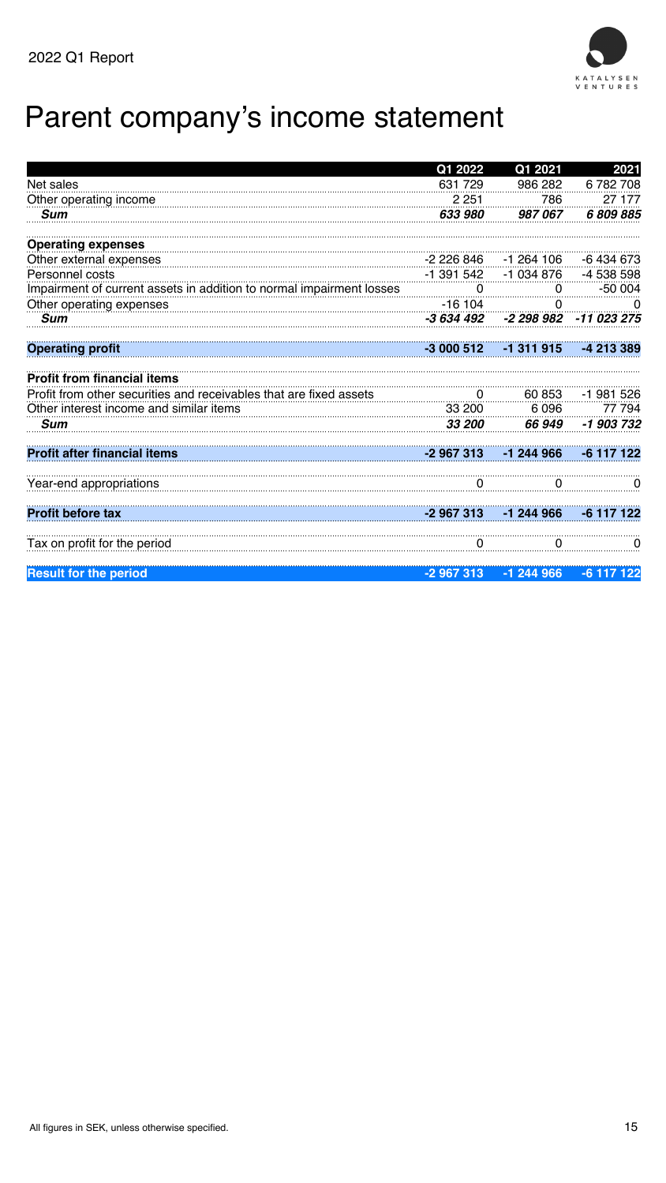

#### All figures in SEK, unless otherwise specified.

## Parent company's income statement



|                                                                      | Q1 2022       | Q1 2021              | 2021        |
|----------------------------------------------------------------------|---------------|----------------------|-------------|
| <b>Net sales</b>                                                     | 631 729       | 986 282              | 6782708     |
| Other operating income                                               | 2 2 5 1       | 786                  | 27 177      |
| <b>Sum</b>                                                           | 633 980       | 987067               | 6809885     |
| <b>Operating expenses</b>                                            |               |                      |             |
| Other external expenses                                              | -2 226 846    | -1 264 106           | -6 434 673  |
| <b>Personnel costs</b>                                               | $-1$ 391 542  | $-1034876$           | -4 538 598  |
| Impairment of current assets in addition to normal impairment losses | O             | $\Omega$             | $-50004$    |
| Other operating expenses                                             | -16 104       | $\Omega$             |             |
| <b>Sum</b>                                                           | -3 634 492    | -2 298 982           | -11 023 275 |
| <b>Operating profit</b>                                              | $-3000512$    | -1 311 915           | -4 213 389  |
| <b>Profit from financial items</b>                                   |               |                      |             |
| Profit from other securities and receivables that are fixed assets   |               | 60 853               | -1 981 526  |
| Other interest income and similar items                              | 33 200        | 6 0 9 6              | 77 794      |
| <b>Sum</b>                                                           | <b>33 200</b> | <b>66 949</b>        | -1 903 732  |
| <b>Profit after financial items</b>                                  |               | $-2967313 - 1244966$ |             |
| Year-end appropriations                                              |               |                      |             |
| <b>Profit before tax</b>                                             | -2 967 313    |                      |             |
| Tax on profit for the period                                         | Ō             | O                    |             |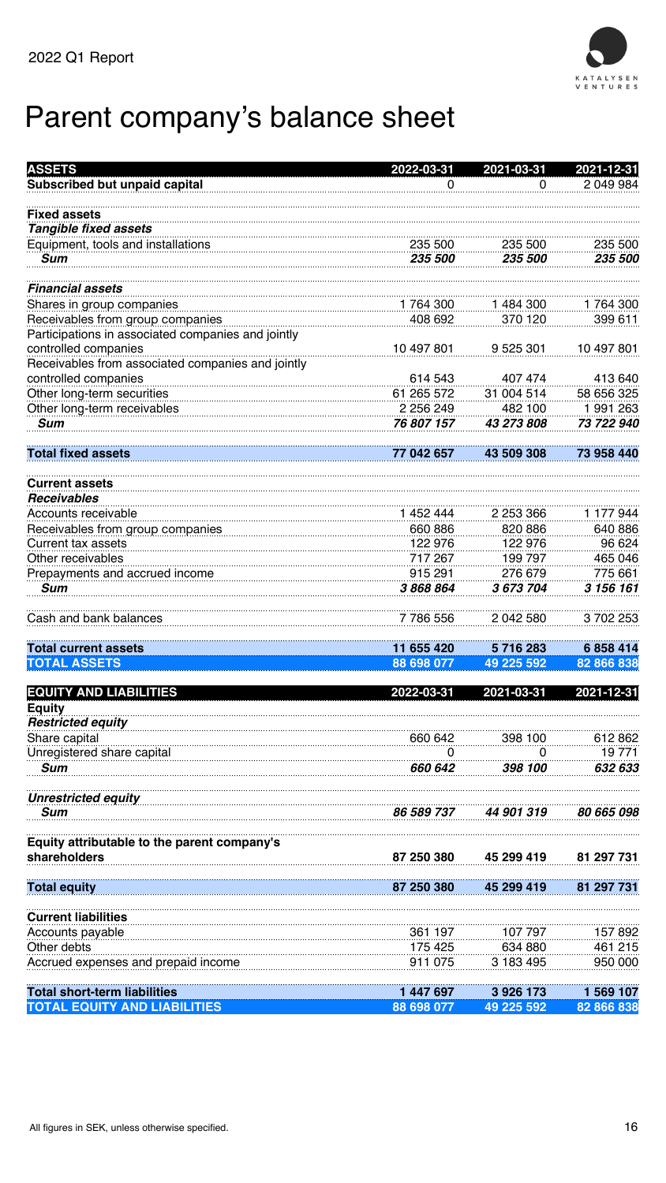



## Parent company's balance sheet



| <b>ASSETS</b>                                      | 2022-03-31               | 2021-03-31           | 2021-12-31               |
|----------------------------------------------------|--------------------------|----------------------|--------------------------|
| <b>Subscribed but unpaid capital</b>               | $\Omega$                 | $\overline{0}$       | 2 049 984                |
| <b>Fixed assets</b>                                |                          |                      |                          |
| <b>Tangible fixed assets</b>                       |                          |                      |                          |
| Equipment, tools and installations                 | 235 500                  | 235 500              | 235 500                  |
| <b>Sum</b>                                         | <i><b>235 500</b></i>    | 235 500              | <i><b>235 500</b></i>    |
| <b>Financial assets</b>                            |                          |                      |                          |
| Shares in group companies                          | 1 764 300                | 1484300              | 1 764 300                |
| Receivables from group companies                   | 408 692                  | 370 120              | 399 611                  |
| Participations in associated companies and jointly |                          |                      |                          |
| controlled companies                               | 10 497 801               | 9 525 301            | 10 497 801               |
| Receivables from associated companies and jointly  |                          |                      |                          |
| controlled companies                               | 614 543                  | 407 474              | 413 640                  |
| Other long-term securities                         | 61 265 572               | 31 004 514           | 58 656 325               |
| Other long-term receivables                        | 2 256 249                | 482 100              | 1 991 263                |
| <b>Sum</b>                                         | 76 807 157               | 43 273 808           | 73 722 940               |
| <b>Total fixed assets</b>                          | 77 042 657               | 43 509 308           | 73 958 440               |
| <b>Current assets</b>                              |                          |                      |                          |
| <b>Receivables</b>                                 |                          |                      |                          |
| Accounts receivable                                | 1 452 444                | 2 253 366            | 1 177 944                |
| Receivables from group companies                   | 660 886                  | 820 886              | 640 886                  |
| Current tax assets                                 | 122 976                  | 122 976              | 96 624                   |
| Other receivables                                  | 717 267                  | 199 797              | 465 046                  |
| Prepayments and accrued income                     | 915 291                  | 276 679              | 775 661                  |
| <b>Sum</b>                                         | 3868864                  | 3 673 704            | <i><b>3 156 161</b></i>  |
| Cash and bank balances                             | 7 786 556                | 2 042 580            | 3 702 253                |
| <b>Total current assets</b>                        | 11 655 420               | 5 716 283            | 6 858 414                |
| <b>TOTAL ASSETS</b>                                | 88 698 077               | 49 225 592           | 82 866 838               |
| <b>EQUITY AND LIABILITIES</b>                      | 2022-03-31               | 2021-03-31           | 2021-12-31               |
| <b>Equity</b>                                      |                          |                      |                          |
| <b>Restricted equity</b>                           |                          |                      |                          |
| Share capital                                      | 660 642                  | 398 100              | 612 862                  |
| Unregistered share capital                         | U                        | $\Omega$             | 19 771                   |
| <b>Sum</b>                                         | 660 642                  | 398 100              | 632 633                  |
| <b>Unrestricted equity</b>                         |                          |                      |                          |
| <b>Sum</b>                                         | <i><b>86 589 737</b></i> | 44 901 319           | <i><b>80 665 098</b></i> |
| Equity attributable to the parent company's        |                          |                      |                          |
| <b>shareholders</b>                                | 87 250 380               | 45 299 419           | 81 297 731               |
| <b>Total equity</b>                                | 87 250 380               | 45 299 419           | 81 297 731               |
| <b>Current liabilities</b>                         |                          |                      |                          |
|                                                    |                          |                      |                          |
| Accounts payable                                   | 361 197                  | 107 797              | 157 892                  |
| Other debts                                        | 175 425<br>911 075       | 634 880<br>3 183 495 | 461 215<br>950 000       |
| Accrued expenses and prepaid income                |                          |                      |                          |
| <b>Fotal short-term liabilities</b>                | 447 697                  | 3 926 173            | 569 107                  |
| <b>TOTAL EQUITY AND LIABILITIES</b>                | 88 698 077               | 49 225 592           | 82 866 838               |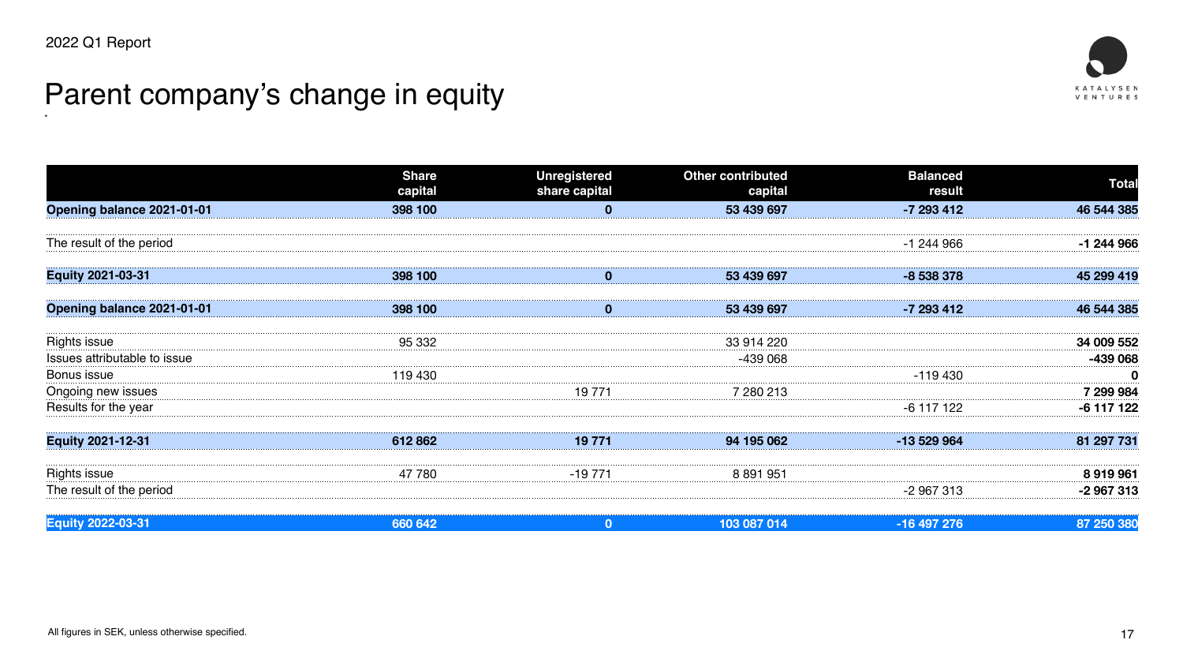

## Parent company's change in equity

\*



|                                     | <b>Share</b><br>capital | <b>Unregistered</b><br>share capital | <b>Other contributed</b><br>capital | <b>Balanced</b><br>result | <b>Total</b>      |
|-------------------------------------|-------------------------|--------------------------------------|-------------------------------------|---------------------------|-------------------|
| <b>Opening balance 2021-01-01</b>   | 398 100                 |                                      | 53 439 697                          | $-7293412$                | 46 544 385        |
| The result of the period            |                         |                                      |                                     | -1 244 966                | -1 244 966        |
|                                     |                         |                                      |                                     |                           |                   |
| <b>Equity 2021-03-31</b>            | 398 100                 |                                      | 53 439 697                          | -8 538 378                | 45 299 419        |
| <b>Opening balance 2021-01-01</b>   | 398 100                 |                                      | 53 439 697                          | -7 293 412                | 46 544 385        |
| <b>Rights issue</b>                 | 95 332                  |                                      | 33 914 220                          |                           | <b>34 009 552</b> |
| <b>Issues attributable to issue</b> |                         |                                      | -439 068                            |                           | -439 068          |
| <b>Bonus issue</b>                  | 119 430                 |                                      |                                     | -119 430                  |                   |
| Ongoing new issues                  |                         | 19 771                               | 280.213                             |                           | <b>299 984</b> '  |
| Results for the year                |                         |                                      |                                     | -6 117 122                | -6 117 122        |
| <b>Equity 2021-12-31</b>            | 61280                   | 10 771<br>19 <i>11</i> 1             | 94 195 062<br>טט טט דע              | -13 529 964               | 81 207 731        |
| Rights issue                        | 47 780                  | -19 771                              | 8 891 951                           |                           | 8919961           |
| The result of the period            |                         |                                      |                                     | -2 967 313                | -2 967 313        |
| <b>Equity 2022-03-31</b>            | 660 642                 | $\Omega$                             | 103 087 014                         | -16 497 276               | 87 250 380        |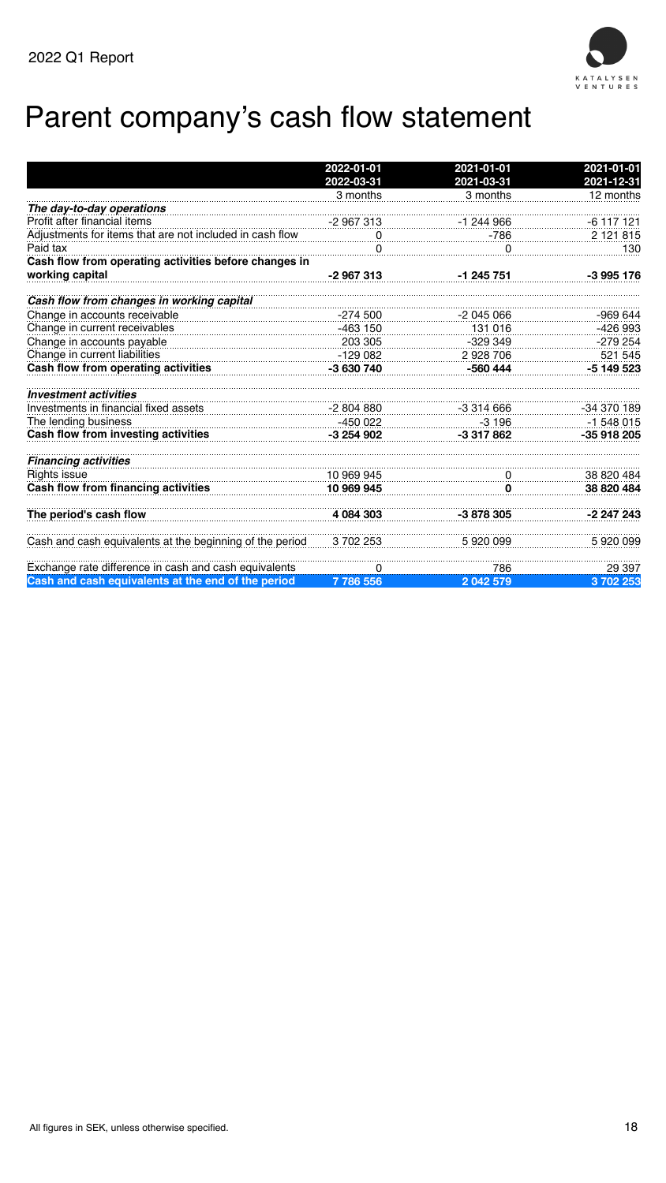



## Parent company's cash flow statement



|                                                                                                                 | 2022-01-01   | 2021-01-01   | 2021-01-01  |
|-----------------------------------------------------------------------------------------------------------------|--------------|--------------|-------------|
|                                                                                                                 | 2022-03-31   | 2021-03-31   | 2021-12-31  |
|                                                                                                                 | 3 months     | 3 months     | 12 months   |
| The day-to-day operations                                                                                       |              |              |             |
| Profit after financial items                                                                                    | -2 967 313   | -1 244 966   | -6 117 121  |
| Adjustments for items that are not included in cash flow                                                        | $\mathbf{O}$ | -786         | 2 121 815   |
| Paid tax                                                                                                        |              | $\bf{0}$     | 130         |
| Cash flow from operating activities before changes in                                                           |              |              |             |
| working capital                                                                                                 | $-2967313$   | $-1$ 245 751 | $-3995176$  |
| Cash flow from changes in working capital                                                                       |              |              |             |
| Change in accounts receivable                                                                                   | -274 500     | -2 045 066   | $-969644$   |
| Change in current receivables                                                                                   | -463 150     | 131 016      | $-426993$   |
| Change in accounts payable                                                                                      | 203 305      | $-329349$    | $-279254$   |
| Change in current liabilities                                                                                   | $-129082$    | 2 928 706    | 521 545     |
| <b>Cash flow from operating activities</b>                                                                      | -3 630 740   | $-560444$    | $-5149523$  |
| <b>Investment activities</b>                                                                                    |              |              |             |
| Investments in financial fixed assets                                                                           | $-2804880$   | $-3314666$   | -34 370 189 |
| The lending business                                                                                            | -450 022     | $-3196$      | $-1548015$  |
| <b>Cash flow from investing activities</b>                                                                      | -3 254 902   | -3 317 862   | -35 918 205 |
| <b>Financing activities</b>                                                                                     |              |              |             |
| <b>Rights issue</b>                                                                                             |              | 0            | 38 820 484  |
| $\frac{10\,969\,945}{\text{m}$ financing activities<br><b>Cash flow from financing activities</b><br>10 969 945 |              |              | 38 820 484  |
| The period's cash flow                                                                                          | 4 084 303    | $-3878305$   | -2 247 243  |
|                                                                                                                 |              |              |             |
| Cash and cash equivalents at the beginning of the period 3702 253                                               |              | 5920099      | 5920099     |

| Exchange rate difference in cash and cash equivalents       |        | 786               |           |
|-------------------------------------------------------------|--------|-------------------|-----------|
| <b>Cash and cash equivalents at the end of the period /</b> | 786556 | <i>')</i> n49 570 | 3 709 953 |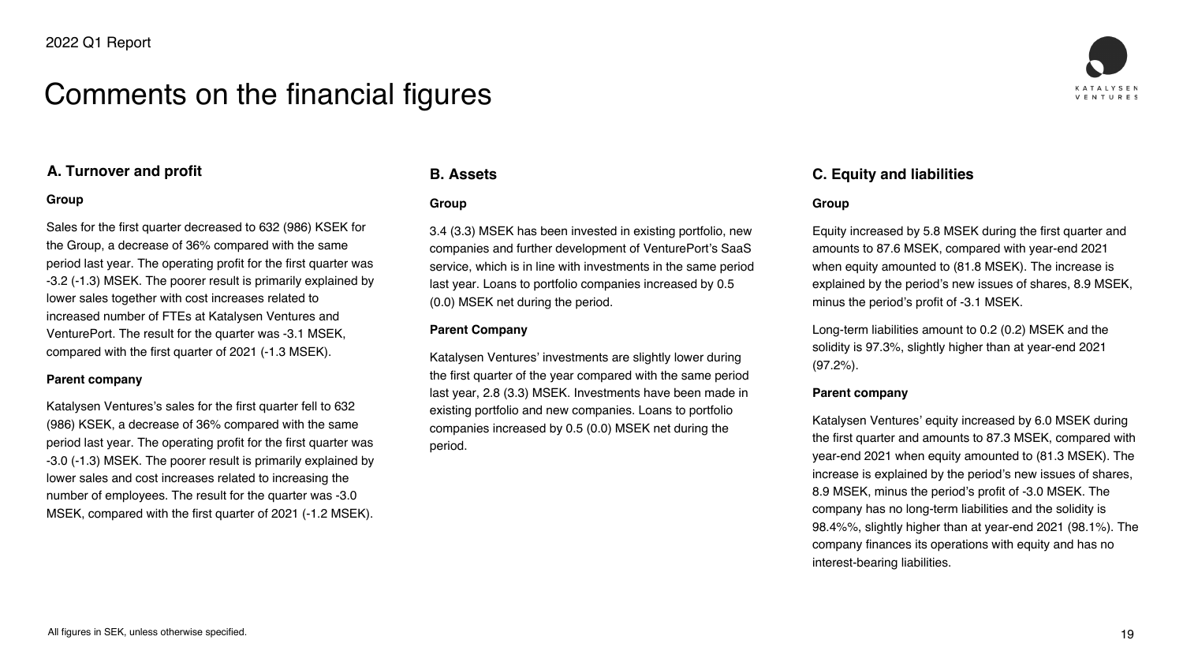

#### **A. Turnover and profit**

#### **Group**

Sales for the first quarter decreased to 632 (986) KSEK for the Group, a decrease of 36% compared with the same period last year. The operating profit for the first quarter was -3.2 (-1.3) MSEK. The poorer result is primarily explained by lower sales together with cost increases related to increased number of FTEs at Katalysen Ventures and VenturePort. The result for the quarter was -3.1 MSEK, compared with the first quarter of 2021 (-1.3 MSEK).

#### **Parent company**

Katalysen Ventures's sales for the first quarter fell to 632 (986) KSEK, a decrease of 36% compared with the same period last year. The operating profit for the first quarter was -3.0 (-1.3) MSEK. The poorer result is primarily explained by lower sales and cost increases related to increasing the number of employees. The result for the quarter was -3.0 MSEK, compared with the first quarter of 2021 (-1.2 MSEK).

Long-term liabilities amount to 0.2 (0.2) MSEK and the solidity is 97.3%, slightly higher than at year-end 2021  $(97.2\%)$ .

#### **B. Assets**

#### **Group**

3.4 (3.3) MSEK has been invested in existing portfolio, new companies and further development of VenturePort's SaaS service, which is in line with investments in the same period last year. Loans to portfolio companies increased by 0.5 (0.0) MSEK net during the period.

#### **Parent Company**

Katalysen Ventures' investments are slightly lower during the first quarter of the year compared with the same period last year, 2.8 (3.3) MSEK. Investments have been made in existing portfolio and new companies. Loans to portfolio companies increased by 0.5 (0.0) MSEK net during the period.

**C. Equity and liabilities**

#### **Group**

Equity increased by 5.8 MSEK during the first quarter and amounts to 87.6 MSEK, compared with year-end 2021 when equity amounted to (81.8 MSEK). The increase is explained by the period's new issues of shares, 8.9 MSEK, minus the period's profit of -3.1 MSEK.

#### **Parent company**

Katalysen Ventures' equity increased by 6.0 MSEK during the first quarter and amounts to 87.3 MSEK, compared with year-end 2021 when equity amounted to (81.3 MSEK). The increase is explained by the period's new issues of shares, 8.9 MSEK, minus the period's profit of -3.0 MSEK. The company has no long-term liabilities and the solidity is 98.4%%, slightly higher than at year-end 2021 (98.1%). The company finances its operations with equity and has no interest-bearing liabilities.







## Comments on the financial figures

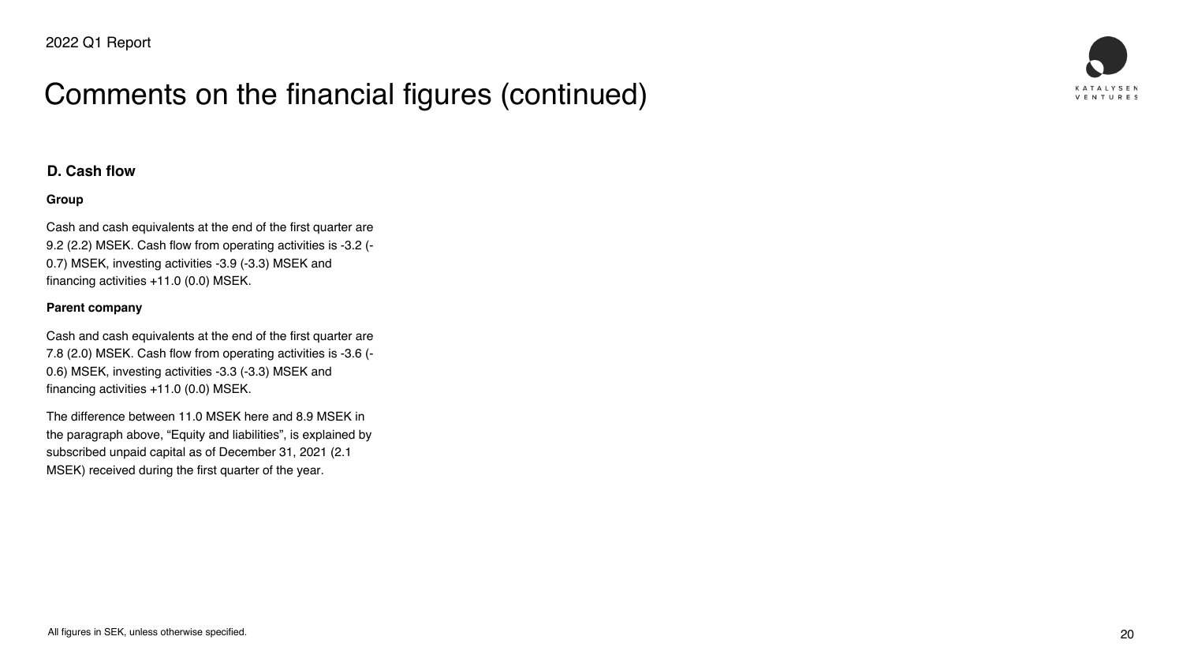

#### **D. Cash flow**

#### **Group**

Cash and cash equivalents at the end of the first quarter are 9.2 (2.2) MSEK. Cash flow from operating activities is -3.2 (- 0.7) MSEK, investing activities -3.9 (-3.3) MSEK and financing activities +11.0 (0.0) MSEK.

#### **Parent company**

Cash and cash equivalents at the end of the first quarter are 7.8 (2.0) MSEK. Cash flow from operating activities is -3.6 (- 0.6) MSEK, investing activities -3.3 (-3.3) MSEK and financing activities +11.0 (0.0) MSEK.

The difference between 11.0 MSEK here and 8.9 MSEK in the paragraph above, "Equity and liabilities", is explained by subscribed unpaid capital as of December 31, 2021 (2.1 MSEK) received during the first quarter of the year.

## Comments on the financial figures (continued)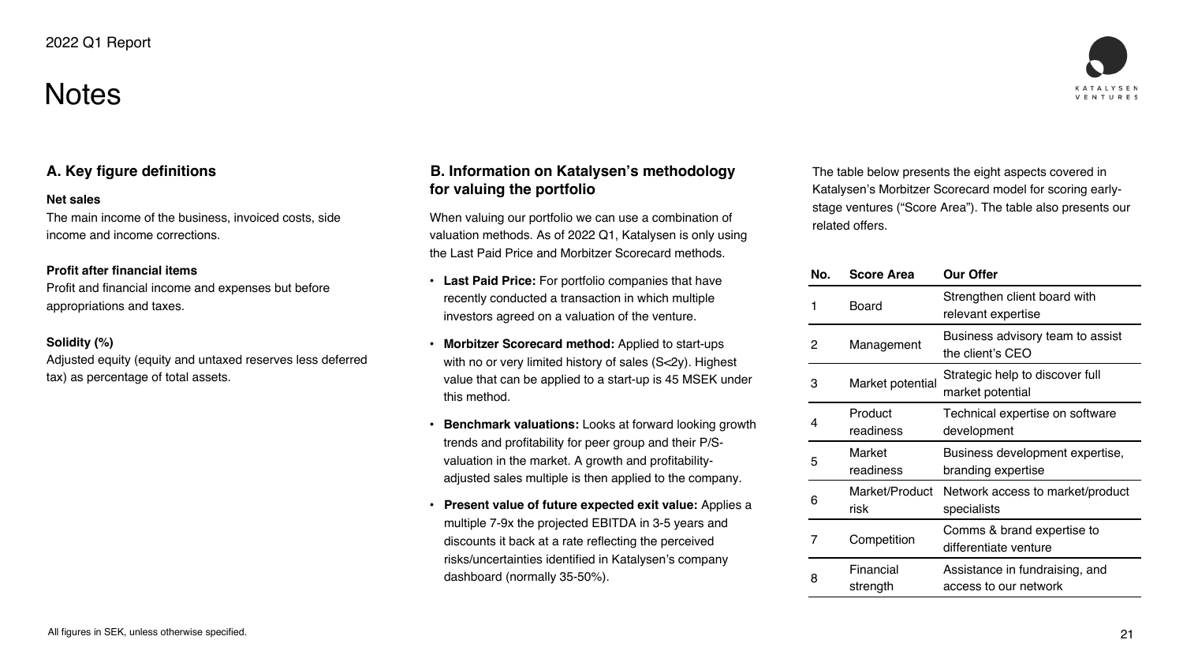## **Notes**



#### **A. Key figure definitions**

#### **Net sales**

The main income of the business, invoiced costs, side income and income corrections.

#### **Profit after financial items**

Profit and financial income and expenses but before appropriations and taxes.

#### **Solidity (%)**

Adjusted equity (equity and untaxed reserves less deferred tax) as percentage of total assets.

#### **B. Information on Katalysen's methodology for valuing the portfolio**

When valuing our portfolio we can use a combination of valuation methods. As of 2022 Q1, Katalysen is only using the Last Paid Price and Morbitzer Scorecard methods.

• **Last Paid Price:** For portfolio companies that have recently conducted a transaction in which multiple investors agreed on a valuation of the venture.

• **Morbitzer Scorecard method:** Applied to start-ups with no or very limited history of sales (S<2y). Highest value that can be applied to a start-up is 45 MSEK under

• **Benchmark valuations:** Looks at forward looking growth trends and profitability for peer group and their P/Svaluation in the market. A growth and profitabilityadjusted sales multiple is then applied to the company.

- 
- this method.
- 
- dashboard (normally 35-50%).

• **Present value of future expected exit value:** Applies a multiple 7-9x the projected EBITDA in 3-5 years and discounts it back at a rate reflecting the perceived risks/uncertainties identified in Katalysen's company

The table below presents the eight aspects covered in Katalysen's Morbitzer Scorecard model for scoring earlystage ventures ("Score Area"). The table also presents our related offers.

| No.                             | <b>Score Area</b>      | <b>Our Offer</b>                                        |  |
|---------------------------------|------------------------|---------------------------------------------------------|--|
|                                 | <b>Board</b>           | Strengthen client board with<br>relevant expertise      |  |
| 2                               | Management             | Business advisory team to assist<br>the client's CEO    |  |
| <b>Market potential</b><br>З    |                        | Strategic help to discover full<br>market potential     |  |
| 4                               | Product<br>readiness   | Technical expertise on software<br>development          |  |
| <b>Market</b><br>5<br>readiness |                        | Business development expertise,<br>branding expertise   |  |
| 6                               | Market/Product<br>risk | Network access to market/produc<br>specialists          |  |
| Competition                     |                        | Comms & brand expertise to<br>differentiate venture     |  |
| 8                               | Financial<br>strength  | Assistance in fundraising, and<br>access to our network |  |





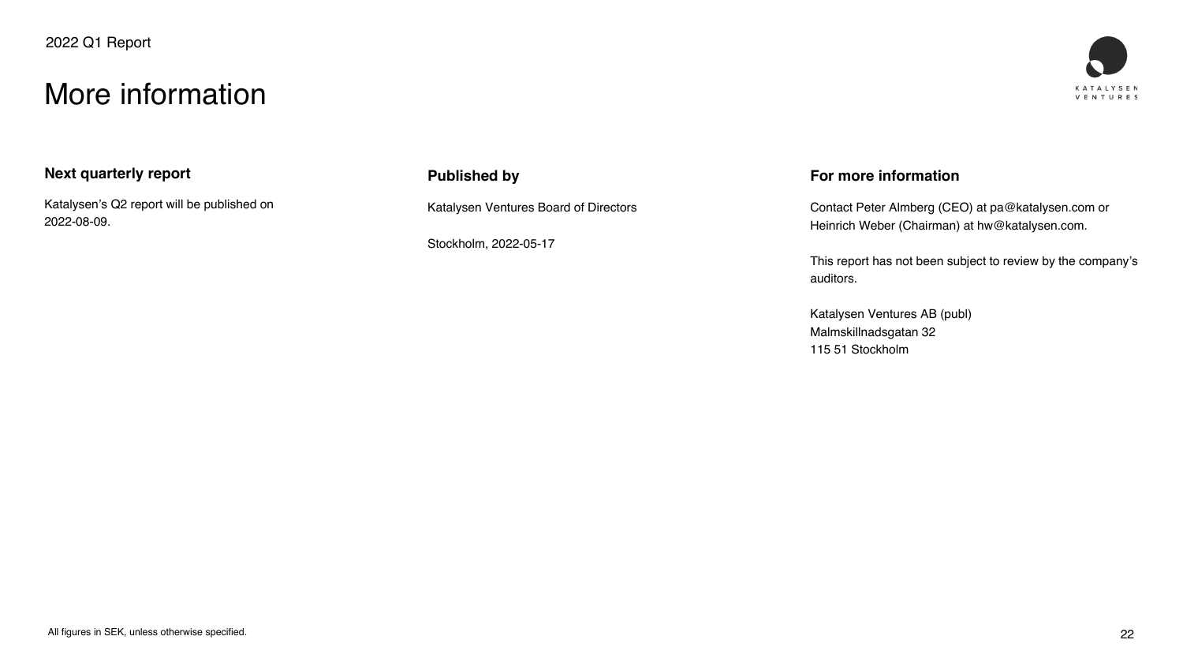

#### **Next quarterly report**

Katalysen's Q2 report will be published on 2022-08-09.

#### **Published by**

Katalysen Ventures Board of Directors

Stockholm, 2022-05-17

#### **For more information**

Contact Peter Almberg (CEO) at pa@katalysen.com or Heinrich Weber (Chairman) at hw@katalysen.com.

This report has not been subject to review by the company's auditors.

Katalysen Ventures AB (publ) Malmskillnadsgatan 32 115 51 Stockholm

### More information